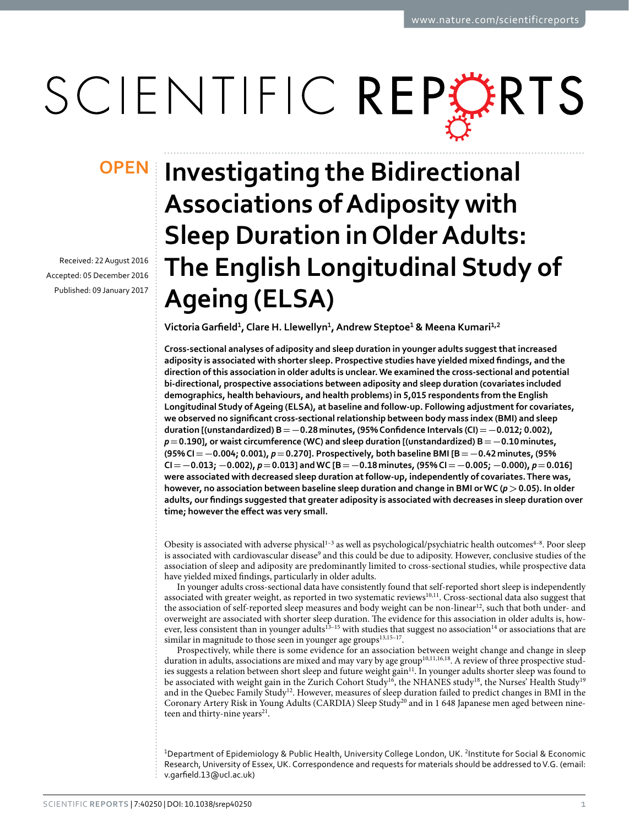# SCIENTIFIC REPERTS

Received: 22 August 2016 accepted: 05 December 2016 Published: 09 January 2017

## **Investigating the Bidirectional OPENAssociations of Adiposity with Sleep Duration in Older Adults: The English Longitudinal Study of Ageing (ELSA)**

**VictoriaGarfield1, Clare H. Llewellyn<sup>1</sup>, Andrew Steptoe<sup>1</sup> & Meena Kumari<sup>1</sup>,<sup>2</sup>**

**Cross-sectional analyses of adiposity and sleep duration in younger adults suggest that increased adiposity is associated with shorter sleep. Prospective studies have yielded mixed findings, and the direction of this association in older adults is unclear. We examined the cross-sectional and potential bi-directional, prospective associations between adiposity and sleep duration (covariates included demographics, health behaviours, and health problems) in 5,015 respondents from the English Longitudinal Study of Ageing (ELSA), at baseline and follow-up. Following adjustment for covariates, we observed no significant cross-sectional relationship between body mass index (BMI) and sleep duration [(unstandardized) B=−0.28minutes, (95% Confidence Intervals (CI)=−0.012; 0.002),**  *p***=0.190], or waist circumference (WC) and sleep duration [(unstandardized) B=−0.10minutes, (95% CI=−0.004; 0.001),** *p***=0.270]. Prospectively, both baseline BMI [B=−0.42minutes, (95% CI=−0.013; −0.002),** *p***=0.013] and WC [B=−0.18minutes, (95% CI=−0.005; −0.000),** *p***=0.016] were associated with decreased sleep duration at follow-up, independently of covariates. There was, however, no association between baseline sleep duration and change in BMI or WC (***p***>0.05). In older adults, our findings suggested that greater adiposity is associated with decreases in sleep duration over time; however the effect was very small.**

Obesity is associated with adverse physical<sup>1-3</sup> as well as psychological/psychiatric health outcomes<sup>4-8</sup>. Poor sleep is associated with cardiovascular disease<sup>[9](#page-6-2)</sup> and this could be due to adiposity. However, conclusive studies of the association of sleep and adiposity are predominantly limited to cross-sectional studies, while prospective data have yielded mixed findings, particularly in older adults.

In younger adults cross-sectional data have consistently found that self-reported short sleep is independently associated with greater weight, as reported in two systematic review[s10,](#page-6-3)[11.](#page-6-4) Cross-sectional data also suggest that the association of self-reported sleep measures and body weight can be non-linear<sup>[12](#page-6-5)</sup>, such that both under- and overweight are associated with shorter sleep duration. The evidence for this association in older adults is, how-ever, less consistent than in younger adults<sup>[13–15](#page-6-6)</sup> with studies that suggest no association<sup>14</sup> or associations that are similar in magnitude to those seen in younger age groups  $^{13,15-17}.$ 

Prospectively, while there is some evidence for an association between weight change and change in sleep duration in adults, associations are mixed and may vary by age group<sup>10,[11,](#page-6-4)[16,](#page-6-9)[18](#page-6-10)</sup>. A review of three prospective stud-ies suggests a relation between short sleep and future weight gain<sup>[11](#page-6-4)</sup>. In younger adults shorter sleep was found to be associated with weight gain in the Zurich Cohort Study<sup>[16](#page-6-9)</sup>, the NHANES study<sup>18</sup>, the Nurses' Health Study<sup>[19](#page-6-11)</sup> and in the Quebec Family Study<sup>12</sup>. However, measures of sleep duration failed to predict changes in BMI in the Coronary Artery Risk in Young Adults (CARDIA) Sleep Study<sup>[20](#page-6-12)</sup> and in 1 648 Japanese men aged between nineteen and thirty-nine years<sup>21</sup>.

<sup>1</sup>Department of Epidemiology & Public Health, University College London, UK. <sup>2</sup>Institute for Social & Economic Research, University of Essex, UK. Correspondence and requests for materials should be addressed to V.G. (email: [v.garfield.13@ucl.ac.uk\)](mailto:v.garfield.13@ucl.ac.uk)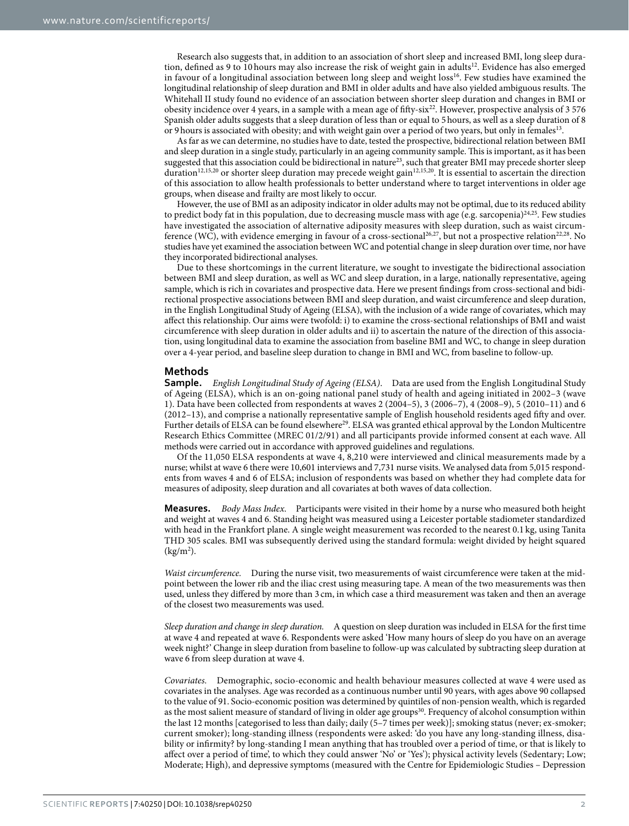Research also suggests that, in addition to an association of short sleep and increased BMI, long sleep duration, defined as 9 to 10 hours may also increase the risk of weight gain in adults<sup>12</sup>. Evidence has also emerged in favour of a longitudinal association between long sleep and weight loss<sup>16</sup>. Few studies have examined the longitudinal relationship of sleep duration and BMI in older adults and have also yielded ambiguous results. The Whitehall II study found no evidence of an association between shorter sleep duration and changes in BMI or obesity incidence over 4 years, in a sample with a mean age of fifty-six<sup>22</sup>. However, prospective analysis of 3 576 Spanish older adults suggests that a sleep duration of less than or equal to 5hours, as well as a sleep duration of 8 or 9 hours is associated with obesity; and with weight gain over a period of two years, but only in females<sup>13</sup>.

As far as we can determine, no studies have to date, tested the prospective, bidirectional relation between BMI and sleep duration in a single study, particularly in an ageing community sample. This is important, as it has been suggested that this association could be bidirectional in nature<sup>23</sup>, such that greater BMI may precede shorter sleep duration<sup>12[,15](#page-6-8)[,20](#page-6-12)</sup> or shorter sleep duration may precede weight gain<sup>[12,](#page-6-5)[15,](#page-6-8)20</sup>. It is essential to ascertain the direction of this association to allow health professionals to better understand where to target interventions in older age groups, when disease and frailty are most likely to occur.

However, the use of BMI as an adiposity indicator in older adults may not be optimal, due to its reduced ability to predict body fat in this population, due to decreasing muscle mass with age (e.g. sarcopenia)<sup>24,25</sup>. Few studies have investigated the association of alternative adiposity measures with sleep duration, such as waist circum-ference (WC), with evidence emerging in favour of a cross-sectional<sup>[26,](#page-6-18)27</sup>, but not a prospective relation<sup>[22](#page-6-14),[28](#page-6-20)</sup>. No studies have yet examined the association between WC and potential change in sleep duration over time, nor have they incorporated bidirectional analyses.

Due to these shortcomings in the current literature, we sought to investigate the bidirectional association between BMI and sleep duration, as well as WC and sleep duration, in a large, nationally representative, ageing sample, which is rich in covariates and prospective data. Here we present findings from cross-sectional and bidirectional prospective associations between BMI and sleep duration, and waist circumference and sleep duration, in the English Longitudinal Study of Ageing (ELSA), with the inclusion of a wide range of covariates, which may affect this relationship. Our aims were twofold: i) to examine the cross-sectional relationships of BMI and waist circumference with sleep duration in older adults and ii) to ascertain the nature of the direction of this association, using longitudinal data to examine the association from baseline BMI and WC, to change in sleep duration over a 4-year period, and baseline sleep duration to change in BMI and WC, from baseline to follow-up.

### **Methods**

**Sample.** *English Longitudinal Study of Ageing (ELSA)*. Data are used from the English Longitudinal Study of Ageing (ELSA), which is an on-going national panel study of health and ageing initiated in 2002–3 (wave 1). Data have been collected from respondents at waves 2 (2004–5), 3 (2006–7), 4 (2008–9), 5 (2010–11) and 6 (2012–13), and comprise a nationally representative sample of English household residents aged fifty and over. Further details of ELSA can be found elsewhere<sup>29</sup>. ELSA was granted ethical approval by the London Multicentre Research Ethics Committee (MREC 01/2/91) and all participants provide informed consent at each wave. All methods were carried out in accordance with approved guidelines and regulations.

Of the 11,050 ELSA respondents at wave 4, 8,210 were interviewed and clinical measurements made by a nurse; whilst at wave 6 there were 10,601 interviews and 7,731 nurse visits. We analysed data from 5,015 respondents from waves 4 and 6 of ELSA; inclusion of respondents was based on whether they had complete data for measures of adiposity, sleep duration and all covariates at both waves of data collection.

**Measures.** *Body Mass Index*. Participants were visited in their home by a nurse who measured both height and weight at waves 4 and 6. Standing height was measured using a Leicester portable stadiometer standardized with head in the Frankfort plane. A single weight measurement was recorded to the nearest 0.1 kg, using Tanita THD 305 scales. BMI was subsequently derived using the standard formula: weight divided by height squared  $(kg/m<sup>2</sup>)$ .

*Waist circumference.* During the nurse visit, two measurements of waist circumference were taken at the midpoint between the lower rib and the iliac crest using measuring tape. A mean of the two measurements was then used, unless they differed by more than 3 cm, in which case a third measurement was taken and then an average of the closest two measurements was used.

*Sleep duration and change in sleep duration.* A question on sleep duration was included in ELSA for the first time at wave 4 and repeated at wave 6. Respondents were asked 'How many hours of sleep do you have on an average week night?' Change in sleep duration from baseline to follow-up was calculated by subtracting sleep duration at wave 6 from sleep duration at wave 4.

*Covariates.* Demographic, socio-economic and health behaviour measures collected at wave 4 were used as covariates in the analyses. Age was recorded as a continuous number until 90 years, with ages above 90 collapsed to the value of 91. Socio-economic position was determined by quintiles of non-pension wealth, which is regarded as the most salient measure of standard of living in older age groups<sup>[30](#page-6-22)</sup>. Frequency of alcohol consumption within the last 12 months [categorised to less than daily; daily (5–7 times per week)]; smoking status (never; ex-smoker; current smoker); long-standing illness (respondents were asked: 'do you have any long-standing illness, disability or infirmity? by long-standing I mean anything that has troubled over a period of time, or that is likely to affect over a period of time', to which they could answer 'No' or 'Yes'); physical activity levels (Sedentary; Low; Moderate; High), and depressive symptoms (measured with the Centre for Epidemiologic Studies – Depression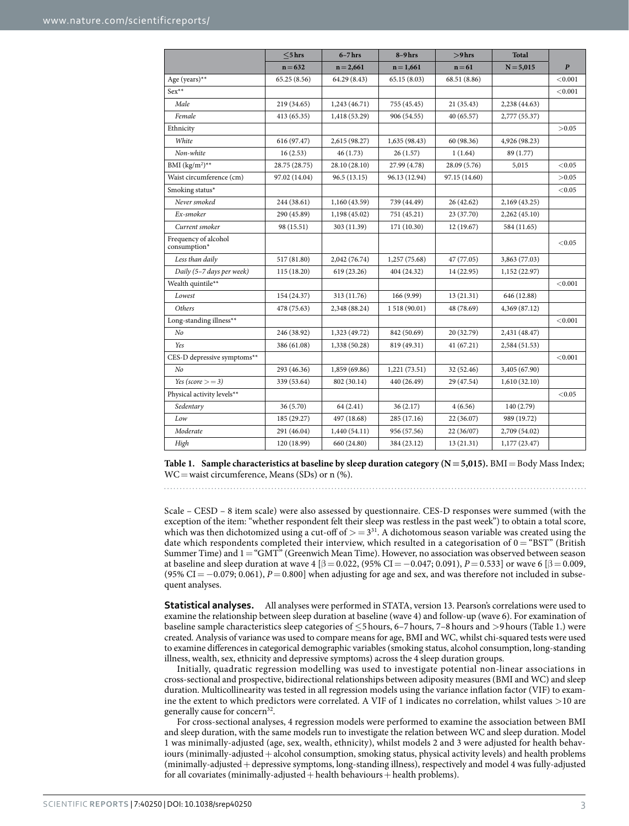<span id="page-2-0"></span>

|                                      | $<$ 5 hrs     | $6 - 7$ hrs   | $8-9$ hrs     | $>9$ hrs      | <b>Total</b>  |                  |
|--------------------------------------|---------------|---------------|---------------|---------------|---------------|------------------|
|                                      | $n = 632$     | $n = 2,661$   | $n = 1,661$   | $n = 61$      | $N = 5,015$   | $\boldsymbol{P}$ |
| Age (years)**                        | 65.25 (8.56)  | 64.29 (8.43)  | 65.15 (8.03)  | 68.51 (8.86)  |               | < 0.001          |
| $Sex**$                              |               |               |               |               |               | < 0.001          |
| Male                                 | 219 (34.65)   | 1,243 (46.71) | 755 (45.45)   | 21 (35.43)    | 2,238 (44.63) |                  |
| Female                               | 413 (65.35)   | 1,418 (53.29) | 906 (54.55)   | 40 (65.57)    | 2,777 (55.37) |                  |
| Ethnicity                            |               |               |               |               |               | >0.05            |
| White                                | 616 (97.47)   | 2,615 (98.27) | 1,635 (98.43) | 60 (98.36)    | 4,926 (98.23) |                  |
| Non-white                            | 16(2.53)      | 46(1.73)      | 26(1.57)      | 1(1.64)       | 89 (1.77)     |                  |
| BMI $(kg/m^2)^{**}$                  | 28.75 (28.75) | 28.10 (28.10) | 27.99 (4.78)  | 28.09 (5.76)  | 5,015         | < 0.05           |
| Waist circumference (cm)             | 97.02 (14.04) | 96.5 (13.15)  | 96.13 (12.94) | 97.15 (14.60) |               | >0.05            |
| Smoking status*                      |               |               |               |               |               | < 0.05           |
| Never smoked                         | 244 (38.61)   | 1,160 (43.59) | 739 (44.49)   | 26 (42.62)    | 2,169 (43.25) |                  |
| Ex-smoker                            | 290 (45.89)   | 1,198 (45.02) | 751 (45.21)   | 23 (37.70)    | 2,262 (45.10) |                  |
| Current smoker                       | 98 (15.51)    | 303 (11.39)   | 171 (10.30)   | 12 (19.67)    | 584 (11.65)   |                  |
| Frequency of alcohol<br>consumption* |               |               |               |               |               | < 0.05           |
| Less than daily                      | 517 (81.80)   | 2,042 (76.74) | 1,257 (75.68) | 47 (77.05)    | 3,863 (77.03) |                  |
| Daily (5-7 days per week)            | 115 (18.20)   | 619 (23.26)   | 404 (24.32)   | 14 (22.95)    | 1,152 (22.97) |                  |
| Wealth quintile**                    |               |               |               |               |               | < 0.001          |
| Lowest                               | 154 (24.37)   | 313 (11.76)   | 166 (9.99)    | 13 (21.31)    | 646 (12.88)   |                  |
| Others                               | 478 (75.63)   | 2,348 (88.24) | 1518 (90.01)  | 48 (78.69)    | 4,369 (87.12) |                  |
| Long-standing illness**              |               |               |               |               |               | < 0.001          |
| N <sub>o</sub>                       | 246 (38.92)   | 1,323 (49.72) | 842 (50.69)   | 20 (32.79)    | 2,431 (48.47) |                  |
| Yes                                  | 386 (61.08)   | 1,338 (50.28) | 819 (49.31)   | 41 (67.21)    | 2,584 (51.53) |                  |
| CES-D depressive symptoms**          |               |               |               |               |               | < 0.001          |
| No                                   | 293 (46.36)   | 1,859 (69.86) | 1,221 (73.51) | 32 (52.46)    | 3,405 (67.90) |                  |
| Yes (score $>=$ 3)                   | 339 (53.64)   | 802 (30.14)   | 440 (26.49)   | 29 (47.54)    | 1,610(32.10)  |                  |
| Physical activity levels**           |               |               |               |               |               | < 0.05           |
| Sedentary                            | 36 (5.70)     | 64(2.41)      | 36(2.17)      | 4(6.56)       | 140 (2.79)    |                  |
| Low                                  | 185 (29.27)   | 497 (18.68)   | 285 (17.16)   | 22 (36.07)    | 989 (19.72)   |                  |
| Moderate                             | 291 (46.04)   | 1,440(54.11)  | 956 (57.56)   | 22(36/07)     | 2,709 (54.02) |                  |
| High                                 | 120 (18.99)   | 660 (24.80)   | 384 (23.12)   | 13 (21.31)    | 1,177 (23.47) |                  |

**Table 1. Sample characteristics at baseline by sleep duration category (N=5,015).** BMI=Body Mass Index;  $WC = wait circumference, Means (SDs) or n (%)$ .

Scale – CESD – 8 item scale) were also assessed by questionnaire. CES-D responses were summed (with the exception of the item: "whether respondent felt their sleep was restless in the past week") to obtain a total score, which was then dichotomized using a cut-off of  $> = 3^{31}$ . A dichotomous season variable was created using the date which respondents completed their interview, which resulted in a categorisation of  $0 =$  "BST" (British Summer Time) and 1="GMT" (Greenwich Mean Time). However, no association was observed between season at baseline and sleep duration at wave 4 [ $\beta = 0.022$ , (95% CI = -0.047; 0.091), *P* = 0.533] or wave 6 [ $\beta = 0.009$ , (95% CI =  $-0.079$ ; 0.061), *P* = 0.800] when adjusting for age and sex, and was therefore not included in subsequent analyses.

**Statistical analyses.** All analyses were performed in STATA, version 13. Pearson's correlations were used to examine the relationship between sleep duration at baseline (wave 4) and follow-up (wave 6). For examination of baseline sample characteristics sleep categories of ≤5 hours, 6–7 hours, 7–8 hours and >9 hours ([Table 1](#page-2-0).) were created. Analysis of variance was used to compare means for age, BMI and WC, whilst chi-squared tests were used to examine differences in categorical demographic variables (smoking status, alcohol consumption, long-standing illness, wealth, sex, ethnicity and depressive symptoms) across the 4 sleep duration groups.

Initially, quadratic regression modelling was used to investigate potential non-linear associations in cross-sectional and prospective, bidirectional relationships between adiposity measures (BMI and WC) and sleep duration. Multicollinearity was tested in all regression models using the variance inflation factor (VIF) to examine the extent to which predictors were correlated. A VIF of 1 indicates no correlation, whilst values >10 are generally cause for concern<sup>32</sup>.

For cross-sectional analyses, 4 regression models were performed to examine the association between BMI and sleep duration, with the same models run to investigate the relation between WC and sleep duration. Model 1 was minimally-adjusted (age, sex, wealth, ethnicity), whilst models 2 and 3 were adjusted for health behaviours (minimally-adjusted+alcohol consumption, smoking status, physical activity levels) and health problems (minimally-adjusted+depressive symptoms, long-standing illness), respectively and model 4 was fully-adjusted for all covariates (minimally-adjusted  $+$  health behaviours  $+$  health problems).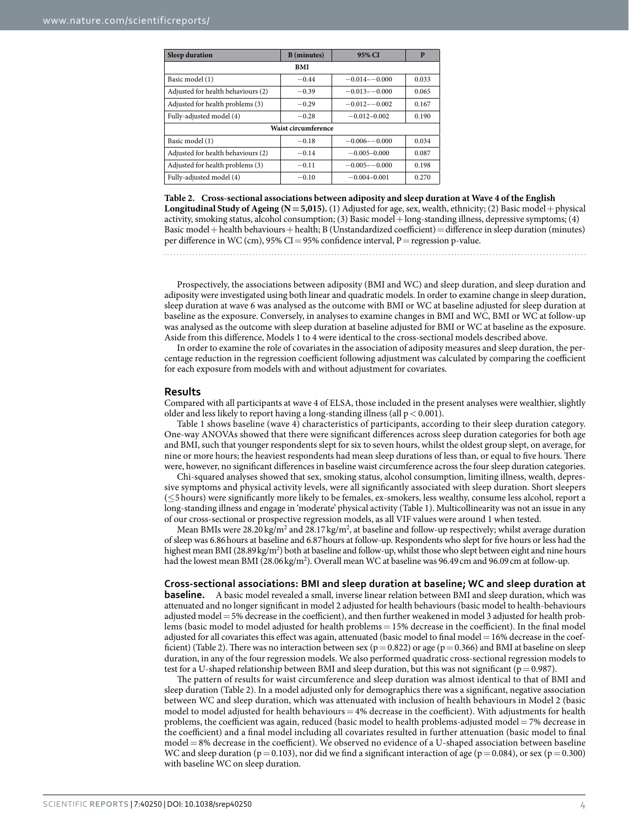<span id="page-3-0"></span>

| <b>Sleep duration</b>              | <b>B</b> (minutes) | 95% CI            | P     |  |  |  |
|------------------------------------|--------------------|-------------------|-------|--|--|--|
| <b>BMI</b>                         |                    |                   |       |  |  |  |
| Basic model (1)                    | $-0.44$            | $-0.014 - -0.000$ | 0.033 |  |  |  |
| Adjusted for health behaviours (2) | $-0.39$            | $-0.013 - 0.000$  | 0.065 |  |  |  |
| Adjusted for health problems (3)   | $-0.29$            | $-0.012 - 0.002$  | 0.167 |  |  |  |
| Fully-adjusted model (4)           | $-0.28$            | $-0.012 - 0.002$  | 0.190 |  |  |  |
| <b>Waist circumference</b>         |                    |                   |       |  |  |  |
| Basic model (1)                    | $-0.18$            | $-0.006 - -0.000$ | 0.034 |  |  |  |
| Adjusted for health behaviours (2) | $-0.14$            | $-0.005 - 0.000$  | 0.087 |  |  |  |
| Adjusted for health problems (3)   | $-0.11$            | $-0.005 - -0.000$ | 0.198 |  |  |  |
| Fully-adjusted model (4)           | $-0.10$            | $-0.004 - 0.001$  | 0.270 |  |  |  |

**Table 2. Cross-sectional associations between adiposity and sleep duration at Wave 4 of the English Longitudinal Study of Ageing (N=5,015).** (1) Adjusted for age, sex, wealth, ethnicity; (2) Basic model+physical activity, smoking status, alcohol consumption; (3) Basic model+long-standing illness, depressive symptoms; (4) Basic model+health behaviours+health; B (Unstandardized coefficient)=difference in sleep duration (minutes) per difference in WC (cm), 95% CI = 95% confidence interval, P = regression p-value.

Prospectively, the associations between adiposity (BMI and WC) and sleep duration, and sleep duration and adiposity were investigated using both linear and quadratic models. In order to examine change in sleep duration, sleep duration at wave 6 was analysed as the outcome with BMI or WC at baseline adjusted for sleep duration at baseline as the exposure. Conversely, in analyses to examine changes in BMI and WC, BMI or WC at follow-up was analysed as the outcome with sleep duration at baseline adjusted for BMI or WC at baseline as the exposure. Aside from this difference, Models 1 to 4 were identical to the cross-sectional models described above.

In order to examine the role of covariates in the association of adiposity measures and sleep duration, the percentage reduction in the regression coefficient following adjustment was calculated by comparing the coefficient for each exposure from models with and without adjustment for covariates.

#### **Results**

Compared with all participants at wave 4 of ELSA, those included in the present analyses were wealthier, slightly older and less likely to report having a long-standing illness (all  $p < 0.001$ ).

[Table 1](#page-2-0) shows baseline (wave 4) characteristics of participants, according to their sleep duration category. One-way ANOVAs showed that there were significant differences across sleep duration categories for both age and BMI, such that younger respondents slept for six to seven hours, whilst the oldest group slept, on average, for nine or more hours; the heaviest respondents had mean sleep durations of less than, or equal to five hours. There were, however, no significant differences in baseline waist circumference across the four sleep duration categories.

Chi-squared analyses showed that sex, smoking status, alcohol consumption, limiting illness, wealth, depressive symptoms and physical activity levels, were all significantly associated with sleep duration. Short sleepers (≤5hours) were significantly more likely to be females, ex-smokers, less wealthy, consume less alcohol, report a long-standing illness and engage in 'moderate' physical activity [\(Table 1](#page-2-0)). Multicollinearity was not an issue in any of our cross-sectional or prospective regression models, as all VIF values were around 1 when tested.

Mean BMIs were 28.20 kg/m<sup>2</sup> and 28.17 kg/m<sup>2</sup>, at baseline and follow-up respectively; whilst average duration of sleep was 6.86hours at baseline and 6.87hours at follow-up. Respondents who slept for five hours or less had the highest mean BMI (28.89 kg/m<sup>2</sup>) both at baseline and follow-up, whilst those who slept between eight and nine hours had the lowest mean BMI (28.06 kg/m<sup>2</sup>). Overall mean WC at baseline was 96.49 cm and 96.09 cm at follow-up.

**Cross-sectional associations: BMI and sleep duration at baseline; WC and sleep duration at baseline.** A basic model revealed a small, inverse linear relation between BMI and sleep duration, which was attenuated and no longer significant in model 2 adjusted for health behaviours (basic model to health-behaviours adjusted model= 5% decrease in the coefficient), and then further weakened in model 3 adjusted for health problems (basic model to model adjusted for health problems= 15% decrease in the coefficient). In the final model adjusted for all covariates this effect was again, attenuated (basic model to final model= 16% decrease in the coef-ficient) ([Table 2](#page-3-0)). There was no interaction between sex ( $p= 0.822$ ) or age ( $p= 0.366$ ) and BMI at baseline on sleep duration, in any of the four regression models. We also performed quadratic cross-sectional regression models to test for a U-shaped relationship between BMI and sleep duration, but this was not significant ( $p=0.987$ ).

The pattern of results for waist circumference and sleep duration was almost identical to that of BMI and sleep duration ([Table 2](#page-3-0)). In a model adjusted only for demographics there was a significant, negative association between WC and sleep duration, which was attenuated with inclusion of health behaviours in Model 2 (basic model to model adjusted for health behaviours  $= 4%$  decrease in the coefficient). With adjustments for health problems, the coefficient was again, reduced (basic model to health problems-adjusted model= 7% decrease in the coefficient) and a final model including all covariates resulted in further attenuation (basic model to final model= 8% decrease in the coefficient). We observed no evidence of a U-shaped association between baseline WC and sleep duration ( $p=0.103$ ), nor did we find a significant interaction of age ( $p=0.084$ ), or sex ( $p=0.300$ ) with baseline WC on sleep duration.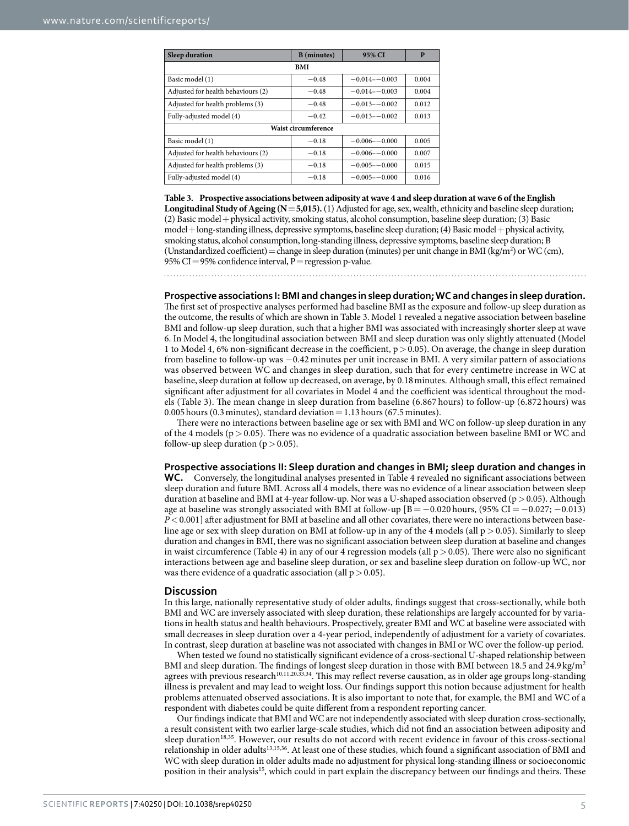<span id="page-4-0"></span>

| <b>Sleep duration</b>              | <b>B</b> (minutes) | 95% CI            | P     |  |  |  |
|------------------------------------|--------------------|-------------------|-------|--|--|--|
| <b>BMI</b>                         |                    |                   |       |  |  |  |
| Basic model (1)                    | $-0.48$            | $-0.014 - 0.003$  | 0.004 |  |  |  |
| Adjusted for health behaviours (2) | $-0.48$            | $-0.014 - -0.003$ | 0.004 |  |  |  |
| Adjusted for health problems (3)   | $-0.48$            | $-0.013 - 0.002$  | 0.012 |  |  |  |
| Fully-adjusted model (4)           | $-0.42$            | $-0.013 - 0.002$  | 0.013 |  |  |  |
| <b>Waist circumference</b>         |                    |                   |       |  |  |  |
| Basic model (1)                    | $-0.18$            | $-0.006 - 0.000$  | 0.005 |  |  |  |
| Adjusted for health behaviours (2) | $-0.18$            | $-0.006 - 0.000$  | 0.007 |  |  |  |
| Adjusted for health problems (3)   | $-0.18$            | $-0.005 - 0.000$  | 0.015 |  |  |  |
| Fully-adjusted model (4)           | $-0.18$            | $-0.005 - 0.000$  | 0.016 |  |  |  |

**Table 3. Prospective associations between adiposity at wave 4 and sleep duration at wave 6 of the English Longitudinal Study of Ageing (N=5,015).** (1) Adjusted for age, sex, wealth, ethnicity and baseline sleep duration; (2) Basic model+physical activity, smoking status, alcohol consumption, baseline sleep duration; (3) Basic model+long-standing illness, depressive symptoms, baseline sleep duration; (4) Basic model+physical activity, smoking status, alcohol consumption, long-standing illness, depressive symptoms, baseline sleep duration; B (Unstandardized coefficient) = change in sleep duration (minutes) per unit change in BMI (kg/m<sup>2</sup>) or WC (cm), 95% CI=95% confidence interval,  $P=$  regression p-value.

#### **Prospective associations I: BMI and changes in sleep duration; WC and changes in sleep duration.**

The first set of prospective analyses performed had baseline BMI as the exposure and follow-up sleep duration as the outcome, the results of which are shown in [Table 3.](#page-4-0) Model 1 revealed a negative association between baseline BMI and follow-up sleep duration, such that a higher BMI was associated with increasingly shorter sleep at wave 6. In Model 4, the longitudinal association between BMI and sleep duration was only slightly attenuated (Model 1 to Model 4, 6% non-significant decrease in the coefficient,  $p > 0.05$ ). On average, the change in sleep duration from baseline to follow-up was −0.42 minutes per unit increase in BMI. A very similar pattern of associations was observed between WC and changes in sleep duration, such that for every centimetre increase in WC at baseline, sleep duration at follow up decreased, on average, by 0.18minutes. Although small, this effect remained significant after adjustment for all covariates in Model 4 and the coefficient was identical throughout the models ([Table 3](#page-4-0)). The mean change in sleep duration from baseline (6.867 hours) to follow-up (6.872 hours) was 0.005 hours (0.3 minutes), standard deviation =  $1.13$  hours (67.5 minutes).

There were no interactions between baseline age or sex with BMI and WC on follow-up sleep duration in any of the 4 models ( $p > 0.05$ ). There was no evidence of a quadratic association between baseline BMI or WC and follow-up sleep duration ( $p > 0.05$ ).

#### **Prospective associations II: Sleep duration and changes in BMI; sleep duration and changes in**

**WC.** Conversely, the longitudinal analyses presented in [Table 4](#page-5-0) revealed no significant associations between sleep duration and future BMI. Across all 4 models, there was no evidence of a linear association between sleep duration at baseline and BMI at 4-year follow-up. Nor was a U-shaped association observed (p > 0.05). Although age at baseline was strongly associated with BMI at follow-up  $[B = -0.020$  hours, (95% CI=  $-0.027$ ;  $-0.013$ ) *P*<0.001] after adjustment for BMI at baseline and all other covariates, there were no interactions between baseline age or sex with sleep duration on BMI at follow-up in any of the 4 models (all  $p > 0.05$ ). Similarly to sleep duration and changes in BMI, there was no significant association between sleep duration at baseline and changes in waist circumference ([Table 4\)](#page-5-0) in any of our 4 regression models (all  $p > 0.05$ ). There were also no significant interactions between age and baseline sleep duration, or sex and baseline sleep duration on follow-up WC, nor was there evidence of a quadratic association (all  $p > 0.05$ ).

#### **Discussion**

In this large, nationally representative study of older adults, findings suggest that cross-sectionally, while both BMI and WC are inversely associated with sleep duration, these relationships are largely accounted for by variations in health status and health behaviours. Prospectively, greater BMI and WC at baseline were associated with small decreases in sleep duration over a 4-year period, independently of adjustment for a variety of covariates. In contrast, sleep duration at baseline was not associated with changes in BMI or WC over the follow-up period.

When tested we found no statistically significant evidence of a cross-sectional U-shaped relationship between BMI and sleep duration. The findings of longest sleep duration in those with BMI between 18.5 and 24.9 kg/m2 agrees with previous research<sup>10[,11](#page-6-4)[,20](#page-6-12)[,33](#page-6-25)[,34](#page-7-0)</sup>. This may reflect reverse causation, as in older age groups long-standing illness is prevalent and may lead to weight loss. Our findings support this notion because adjustment for health problems attenuated observed associations. It is also important to note that, for example, the BMI and WC of a respondent with diabetes could be quite different from a respondent reporting cancer.

Our findings indicate that BMI and WC are not independently associated with sleep duration cross-sectionally, a result consistent with two earlier large-scale studies, which did not find an association between adiposity and sleep duration<sup>[18](#page-6-10),35</sup>. However, our results do not accord with recent evidence in favour of this cross-sectional relationship in older adult[s13](#page-6-6)[,15](#page-6-8)[,36.](#page-7-2) At least one of these studies, which found a significant association of BMI and WC with sleep duration in older adults made no adjustment for physical long-standing illness or socioeconomic position in their analysis<sup>[15](#page-6-8)</sup>, which could in part explain the discrepancy between our findings and theirs. These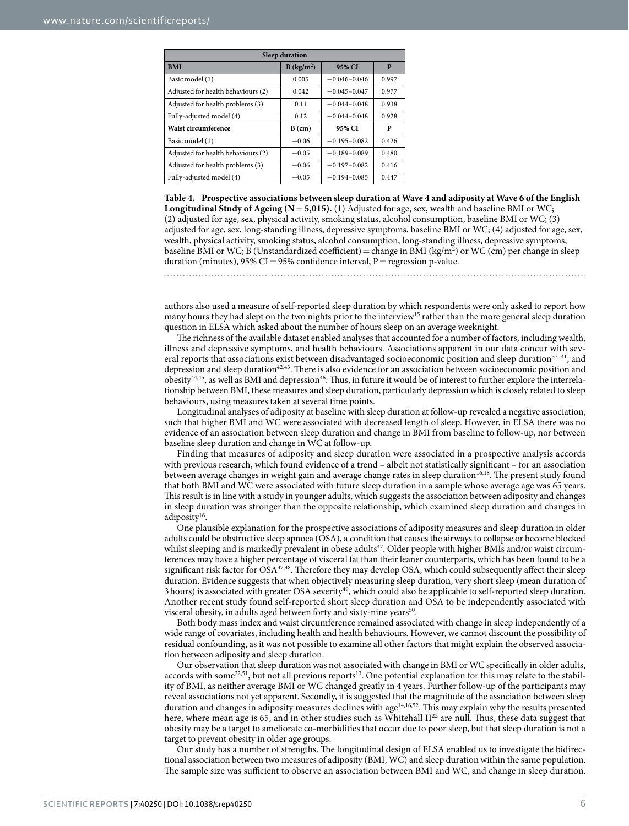<span id="page-5-0"></span>

| <b>Sleep duration</b>              |                        |                  |       |  |  |  |  |
|------------------------------------|------------------------|------------------|-------|--|--|--|--|
| <b>BMI</b>                         | B (kg/m <sup>2</sup> ) | 95% CI           | P     |  |  |  |  |
| Basic model (1)                    | 0.005                  | $-0.046 - 0.046$ | 0.997 |  |  |  |  |
| Adjusted for health behaviours (2) | 0.042                  | $-0.045 - 0.047$ | 0.977 |  |  |  |  |
| Adjusted for health problems (3)   | 0.11                   | $-0.044 - 0.048$ | 0.938 |  |  |  |  |
| Fully-adjusted model (4)           | 0.12                   | $-0.044 - 0.048$ | 0.928 |  |  |  |  |
| Waist circumference                | $B$ (cm)               | 95% CI           | P     |  |  |  |  |
| Basic model (1)                    | $-0.06$                | $-0.195 - 0.082$ | 0.426 |  |  |  |  |
| Adjusted for health behaviours (2) | $-0.05$                | $-0.189 - 0.089$ | 0.480 |  |  |  |  |
| Adjusted for health problems (3)   | $-0.06$                | $-0.197 - 0.082$ | 0.416 |  |  |  |  |
| Fully-adjusted model (4)           | $-0.05$                | $-0.194 - 0.085$ | 0.447 |  |  |  |  |

**Table 4. Prospective associations between sleep duration at Wave 4 and adiposity at Wave 6 of the English Longitudinal Study of Ageing (N=5,015).** (1) Adjusted for age, sex, wealth and baseline BMI or WC; (2) adjusted for age, sex, physical activity, smoking status, alcohol consumption, baseline BMI or WC; (3) adjusted for age, sex, long-standing illness, depressive symptoms, baseline BMI or WC; (4) adjusted for age, sex, wealth, physical activity, smoking status, alcohol consumption, long-standing illness, depressive symptoms, baseline BMI or WC; B (Unstandardized coefficient) = change in BMI (kg/m<sup>2</sup>) or WC (cm) per change in sleep duration (minutes), 95% CI = 95% confidence interval, P = regression p-value.

authors also used a measure of self-reported sleep duration by which respondents were only asked to report how many hours they had slept on the two nights prior to the interview<sup>15</sup> rather than the more general sleep duration question in ELSA which asked about the number of hours sleep on an average weeknight.

The richness of the available dataset enabled analyses that accounted for a number of factors, including wealth, illness and depressive symptoms, and health behaviours. Associations apparent in our data concur with several reports that associations exist between disadvantaged socioeconomic position and sleep duration<sup>37-41</sup>, and depression and sleep duration<sup>42,43</sup>. There is also evidence for an association between socioeconomic position and obesity<sup>44,45</sup>, as well as BMI and depression<sup>[46](#page-7-8)</sup>. Thus, in future it would be of interest to further explore the interrelationship between BMI, these measures and sleep duration, particularly depression which is closely related to sleep behaviours, using measures taken at several time points.

Longitudinal analyses of adiposity at baseline with sleep duration at follow-up revealed a negative association, such that higher BMI and WC were associated with decreased length of sleep. However, in ELSA there was no evidence of an association between sleep duration and change in BMI from baseline to follow-up, nor between baseline sleep duration and change in WC at follow-up.

Finding that measures of adiposity and sleep duration were associated in a prospective analysis accords with previous research, which found evidence of a trend – albeit not statistically significant – for an association between average changes in weight gain and average change rates in sleep duration<sup>[16,](#page-6-9)18</sup>. The present study found that both BMI and WC were associated with future sleep duration in a sample whose average age was 65 years. This result is in line with a study in younger adults, which suggests the association between adiposity and changes in sleep duration was stronger than the opposite relationship, which examined sleep duration and changes in adiposity<sup>[16](#page-6-9)</sup>.

One plausible explanation for the prospective associations of adiposity measures and sleep duration in older adults could be obstructive sleep apnoea (OSA), a condition that causes the airways to collapse or become blocked whilst sleeping and is markedly prevalent in obese adults<sup>47</sup>. Older people with higher BMIs and/or waist circumferences may have a higher percentage of visceral fat than their leaner counterparts, which has been found to be a significant risk factor for  $OSA^{47,48}$  $OSA^{47,48}$  $OSA^{47,48}$  $OSA^{47,48}$  $OSA^{47,48}$ . Therefore they may develop OSA, which could subsequently affect their sleep duration. Evidence suggests that when objectively measuring sleep duration, very short sleep (mean duration of 3 hours) is associated with greater OSA severity<sup>49</sup>, which could also be applicable to self-reported sleep duration. Another recent study found self-reported short sleep duration and OSA to be independently associated with visceral obesity, in adults aged between forty and sixty-nine years<sup>50</sup>.

Both body mass index and waist circumference remained associated with change in sleep independently of a wide range of covariates, including health and health behaviours. However, we cannot discount the possibility of residual confounding, as it was not possible to examine all other factors that might explain the observed association between adiposity and sleep duration.

Our observation that sleep duration was not associated with change in BMI or WC specifically in older adults, accords with som[e22](#page-6-14)[,51,](#page-7-13) but not all previous reports[13](#page-6-6). One potential explanation for this may relate to the stability of BMI, as neither average BMI or WC changed greatly in 4 years. Further follow-up of the participants may reveal associations not yet apparent. Secondly, it is suggested that the magnitude of the association between sleep duration and changes in adiposity measures declines with age $14,16,52$  $14,16,52$  $14,16,52$  $14,16,52$  $14,16,52$ . This may explain why the results presented here, where mean age is 65, and in other studies such as Whitehall  $II^{22}$  are null. Thus, these data suggest that obesity may be a target to ameliorate co-morbidities that occur due to poor sleep, but that sleep duration is not a target to prevent obesity in older age groups.

Our study has a number of strengths. The longitudinal design of ELSA enabled us to investigate the bidirectional association between two measures of adiposity (BMI, WC) and sleep duration within the same population. The sample size was sufficient to observe an association between BMI and WC, and change in sleep duration.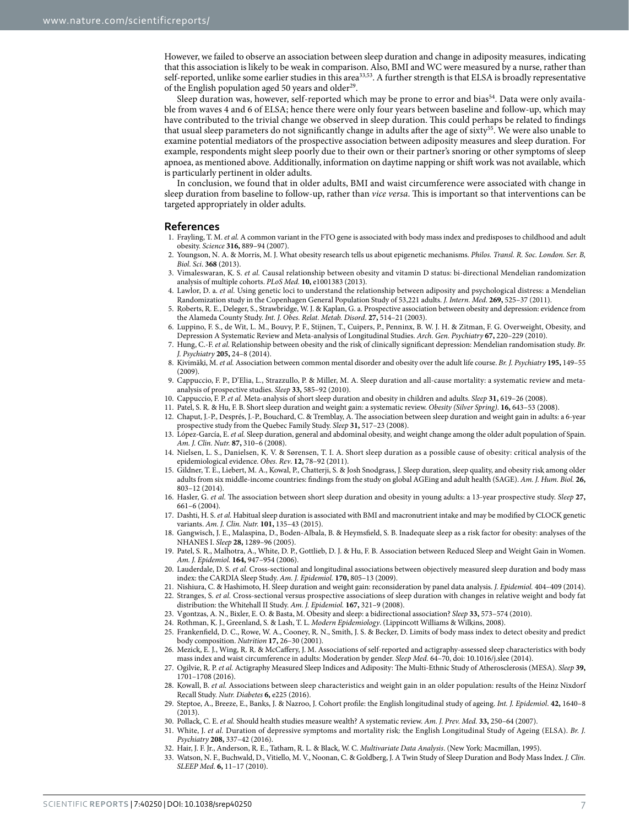However, we failed to observe an association between sleep duration and change in adiposity measures, indicating that this association is likely to be weak in comparison. Also, BMI and WC were measured by a nurse, rather than self-reported, unlike some earlier studies in this area<sup>33,53</sup>. A further strength is that ELSA is broadly representative of the English population aged 50 years and older<sup>29</sup>.

Sleep duration was, however, self-reported which may be prone to error and bias<sup>54</sup>. Data were only available from waves 4 and 6 of ELSA; hence there were only four years between baseline and follow-up, which may have contributed to the trivial change we observed in sleep duration. This could perhaps be related to findings that usual sleep parameters do not significantly change in adults after the age of sixty<sup>[55](#page-7-17)</sup>. We were also unable to examine potential mediators of the prospective association between adiposity measures and sleep duration. For example, respondents might sleep poorly due to their own or their partner's snoring or other symptoms of sleep apnoea, as mentioned above. Additionally, information on daytime napping or shift work was not available, which is particularly pertinent in older adults.

In conclusion, we found that in older adults, BMI and waist circumference were associated with change in sleep duration from baseline to follow-up, rather than *vice versa*. This is important so that interventions can be targeted appropriately in older adults.

#### **References**

- <span id="page-6-0"></span>1. Frayling, T. M. *et al.* A common variant in the FTO gene is associated with body mass index and predisposes to childhood and adult obesity. *Science* **316,** 889–94 (2007).
- 2. Youngson, N. A. & Morris, M. J. What obesity research tells us about epigenetic mechanisms. *Philos. Transl. R. Soc. London. Ser. B, Biol. Sci*. **368** (2013).
- 3. Vimaleswaran, K. S. *et al.* Causal relationship between obesity and vitamin D status: bi-directional Mendelian randomization analysis of multiple cohorts. *PLoS Med.* **10,** e1001383 (2013).
- <span id="page-6-1"></span>4. Lawlor, D. a. *et al.* Using genetic loci to understand the relationship between adiposity and psychological distress: a Mendelian Randomization study in the Copenhagen General Population Study of 53,221 adults. *J. Intern. Med*. **269,** 525–37 (2011).
- 5. Roberts, R. E., Deleger, S., Strawbridge, W. J. & Kaplan, G. a. Prospective association between obesity and depression: evidence from the Alameda County Study. *Int. J. Obes. Relat. Metab. Disord*. **27,** 514–21 (2003).
- 6. Luppino, F. S., de Wit, L. M., Bouvy, P. F., Stijnen, T., Cuipers, P., Penninx, B. W. J. H. & Zitman, F. G. Overweight, Obesity, and Depression A Systematic Review and Meta-analysis of Longitudinal Studies. *Arch. Gen. Psychiatry* **67,** 220–229 (2010).
- 7. Hung, C.-F. *et al.* Relationship between obesity and the risk of clinically significant depression: Mendelian randomisation study. *Br. J. Psychiatry* **205,** 24–8 (2014).
- 8. Kivimäki, M. *et al.* Association between common mental disorder and obesity over the adult life course. *Br. J. Psychiatry* **195,** 149–55 (2009).
- <span id="page-6-2"></span>9. Cappuccio, F. P., D'Elia, L., Strazzullo, P. & Miller, M. A. Sleep duration and all-cause mortality: a systematic review and metaanalysis of prospective studies. *Sleep* **33,** 585–92 (2010).
- <span id="page-6-3"></span>10. Cappuccio, F. P. *et al.* Meta-analysis of short sleep duration and obesity in children and adults. *Sleep* **31,** 619–26 (2008).
- <span id="page-6-5"></span><span id="page-6-4"></span>11. Patel, S. R. & Hu, F. B. Short sleep duration and weight gain: a systematic review. *Obesity (Silver Spring)*. **16,** 643–53 (2008).
- 12. Chaput, J.-P., Després, J.-P., Bouchard, C. & Tremblay, A. The association between sleep duration and weight gain in adults: a 6-year prospective study from the Quebec Family Study. *Sleep* **31,** 517–23 (2008).
- <span id="page-6-6"></span>13. López-García, E. *et al.* Sleep duration, general and abdominal obesity, and weight change among the older adult population of Spain. *Am. J. Clin. Nutr.* **87,** 310–6 (2008).
- <span id="page-6-7"></span>14. Nielsen, L. S., Danielsen, K. V. & Sørensen, T. I. A. Short sleep duration as a possible cause of obesity: critical analysis of the epidemiological evidence. *Obes. Rev*. **12,** 78–92 (2011).
- <span id="page-6-8"></span>15. Gildner, T. E., Liebert, M. A., Kowal, P., Chatterji, S. & Josh Snodgrass, J. Sleep duration, sleep quality, and obesity risk among older adults from six middle-income countries: findings from the study on global AGEing and adult health (SAGE). *Am. J. Hum. Biol.* **26,** 803–12 (2014).
- <span id="page-6-9"></span>16. Hasler, G. *et al.* The association between short sleep duration and obesity in young adults: a 13-year prospective study. *Sleep* **27,** 661–6 (2004).
- 17. Dashti, H. S. *et al.* Habitual sleep duration is associated with BMI and macronutrient intake and may be modified by CLOCK genetic variants. *Am. J. Clin. Nutr.* **101,** 135–43 (2015).
- <span id="page-6-10"></span>18. Gangwisch, J. E., Malaspina, D., Boden-Albala, B. & Heymsfield, S. B. Inadequate sleep as a risk factor for obesity: analyses of the NHANES I. *Sleep* **28,** 1289–96 (2005).
- <span id="page-6-11"></span>19. Patel, S. R., Malhotra, A., White, D. P., Gottlieb, D. J. & Hu, F. B. Association between Reduced Sleep and Weight Gain in Women. *Am. J. Epidemiol.* **164,** 947–954 (2006).
- <span id="page-6-12"></span>20. Lauderdale, D. S. *et al.* Cross-sectional and longitudinal associations between objectively measured sleep duration and body mass index: the CARDIA Sleep Study. *Am. J. Epidemiol.* **170,** 805–13 (2009).
- <span id="page-6-13"></span>21. Nishiura, C. & Hashimoto, H. Sleep duration and weight gain: reconsideration by panel data analysis. *J. Epidemiol.* 404–409 (2014).
- <span id="page-6-14"></span>22. Stranges, S. *et al.* Cross-sectional versus prospective associations of sleep duration with changes in relative weight and body fat distribution: the Whitehall II Study. *Am. J. Epidemiol.* **167,** 321–9 (2008).
- <span id="page-6-15"></span>23. Vgontzas, A. N., Bixler, E. O. & Basta, M. Obesity and sleep: a bidirectional association? *Sleep* **33,** 573–574 (2010).
- <span id="page-6-17"></span><span id="page-6-16"></span>24. Rothman, K. J., Greenland, S. & Lash, T. L. *Modern Epidemiology*. (Lippincott Williams & Wilkins, 2008).
- 25. Frankenfield, D. C., Rowe, W. A., Cooney, R. N., Smith, J. S. & Becker, D. Limits of body mass index to detect obesity and predict body composition. *Nutrition* **17,** 26–30 (2001).
- <span id="page-6-18"></span>26. Mezick, E. J., Wing, R. R. & McCaffery, J. M. Associations of self-reported and actigraphy-assessed sleep characteristics with body mass index and waist circumference in adults: Moderation by gender. *Sleep Med.* 64–70, doi: 10.1016/j.slee (2014).
- <span id="page-6-19"></span>27. Ogilvie, R. P. *et al.* Actigraphy Measured Sleep Indices and Adiposity: The Multi-Ethnic Study of Atherosclerosis (MESA). *Sleep* **39,** 1701–1708 (2016).
- <span id="page-6-20"></span>28. Kowall, B. *et al.* Associations between sleep characteristics and weight gain in an older population: results of the Heinz Nixdorf Recall Study. *Nutr. Diabetes* **6,** e225 (2016).
- <span id="page-6-21"></span>29. Steptoe, A., Breeze, E., Banks, J. & Nazroo, J. Cohort profile: the English longitudinal study of ageing. *Int. J. Epidemiol*. **42,** 1640–8 (2013).
- <span id="page-6-23"></span><span id="page-6-22"></span>30. Pollack, C. E. *et al.* Should health studies measure wealth? A systematic review. *Am. J. Prev. Med.* **33,** 250–64 (2007).
- 31. White, J. *et al.* Duration of depressive symptoms and mortality risk: the English Longitudinal Study of Ageing (ELSA). *Br. J. Psychiatry* **208,** 337–42 (2016).
- <span id="page-6-25"></span><span id="page-6-24"></span>32. Hair, J. F. Jr., Anderson, R. E., Tatham, R. L. & Black, W. C. *Multivariate Data Analysis*. (New York: Macmillan, 1995).
- 33. Watson, N. F., Buchwald, D., Vitiello, M. V., Noonan, C. & Goldberg, J. A Twin Study of Sleep Duration and Body Mass Index. *J. Clin. SLEEP Med.* **6,** 11–17 (2010).